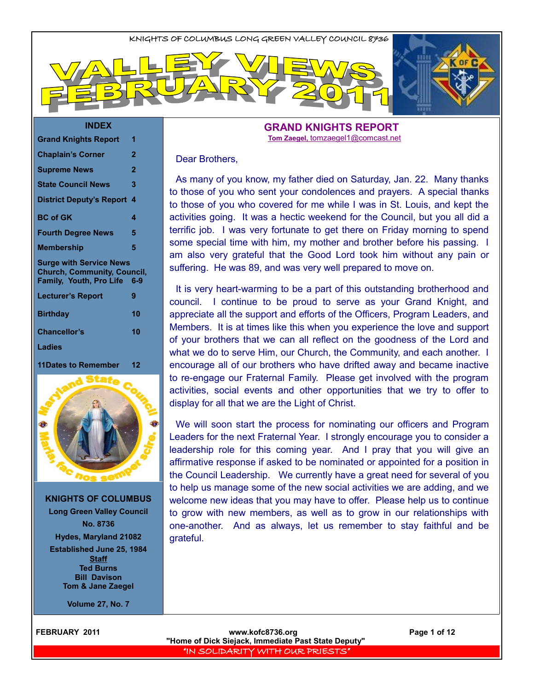#### **INDEX**

| <b>Grand Knights Report</b>                                                                     | 1   |
|-------------------------------------------------------------------------------------------------|-----|
| <b>Chaplain's Corner</b>                                                                        | 2   |
| <b>Supreme News</b>                                                                             | 2   |
| <b>State Council News</b>                                                                       | 3   |
| <b>District Deputy's Report</b>                                                                 | 4   |
| <b>BC</b> of GK                                                                                 | 4   |
| <b>Fourth Degree News</b>                                                                       | 5   |
| Membership                                                                                      | 5   |
|                                                                                                 |     |
| <b>Surge with Service News</b><br><b>Church, Community, Council,</b><br>Family, Youth, Pro Life | 6-9 |
| <b>Lecturer's Report</b>                                                                        | 9   |
| <b>Birthday</b>                                                                                 | 10  |
| Chancellor's                                                                                    | 10  |
| Ladies                                                                                          |     |
| 11Dates to Remember                                                                             | 12  |



**KNIGHTS OF COLUMBUS Long Green Valley Council No. 8736 Hydes, Maryland 21082**

**Established June 25, 1984 Staff Ted Burns Bill Davison Tom & Jane Zaegel**

**Volume 27, No. 7**

#### **GRAND KNIGHTS REPORT Tom Zaegel,** [tomzaegel1@comcast.net](mailto:tomzaegel1@comcast.net)

#### Dear Brothers,

As many of you know, my father died on Saturday, Jan. 22. Many thanks to those of you who sent your condolences and prayers. A special thanks to those of you who covered for me while I was in St. Louis, and kept the activities going. It was a hectic weekend for the Council, but you all did a terrific job. I was very fortunate to get there on Friday morning to spend some special time with him, my mother and brother before his passing. I am also very grateful that the Good Lord took him without any pain or suffering. He was 89, and was very well prepared to move on.

It is very heart-warming to be a part of this outstanding brotherhood and council. I continue to be proud to serve as your Grand Knight, and appreciate all the support and efforts of the Officers, Program Leaders, and Members. It is at times like this when you experience the love and support of your brothers that we can all reflect on the goodness of the Lord and what we do to serve Him, our Church, the Community, and each another. I encourage all of our brothers who have drifted away and became inactive to re-engage our Fraternal Family. Please get involved with the program activities, social events and other opportunities that we try to offer to display for all that we are the Light of Christ.

We will soon start the process for nominating our officers and Program Leaders for the next Fraternal Year. I strongly encourage you to consider a leadership role for this coming year. And I pray that you will give an affirmative response if asked to be nominated or appointed for a position in the Council Leadership. We currently have a great need for several of you to help us manage some of the new social activities we are adding, and we welcome new ideas that you may have to offer. Please help us to continue to grow with new members, as well as to grow in our relationships with one-another. And as always, let us remember to stay faithful and be grateful.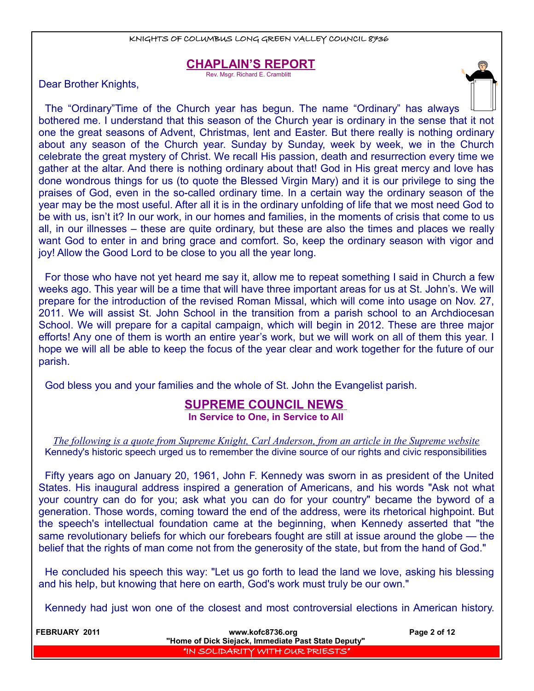### **CHAPLAIN'S REPORT**

Rev. Msgr. Richard E. Cramblitt

Dear Brother Knights,



For those who have not yet heard me say it, allow me to repeat something I said in Church a few weeks ago. This year will be a time that will have three important areas for us at St. John's. We will prepare for the introduction of the revised Roman Missal, which will come into usage on Nov. 27, 2011. We will assist St. John School in the transition from a parish school to an Archdiocesan School. We will prepare for a capital campaign, which will begin in 2012. These are three major efforts! Any one of them is worth an entire year's work, but we will work on all of them this year. I hope we will all be able to keep the focus of the year clear and work together for the future of our parish.

God bless you and your families and the whole of St. John the Evangelist parish.

## **SUPREME COUNCIL NEWS**

**In Service to One, in Service to All** 

*The following is a quote from Supreme Knight, Carl Anderson, from an article in the Supreme website* Kennedy's historic speech urged us to remember the divine source of our rights and civic responsibilities

Fifty years ago on January 20, 1961, John F. Kennedy was sworn in as president of the United States. His inaugural address inspired a generation of Americans, and his words "Ask not what your country can do for you; ask what you can do for your country" became the byword of a generation. Those words, coming toward the end of the address, were its rhetorical highpoint. But the speech's intellectual foundation came at the beginning, when Kennedy asserted that "the same revolutionary beliefs for which our forebears fought are still at issue around the globe — the belief that the rights of man come not from the generosity of the state, but from the hand of God."

He concluded his speech this way: "Let us go forth to lead the land we love, asking his blessing and his help, but knowing that here on earth, God's work must truly be our own."

Kennedy had just won one of the closest and most controversial elections in American history.

| <b>FEBRUARY 2011</b> | www.kofc8736.org<br>"Home of Dick Siejack, Immediate Past State Deputy" | Page 2 of 12 |
|----------------------|-------------------------------------------------------------------------|--------------|
|                      | "IN SOLIDARITY WITH OUR PRIESTS"                                        |              |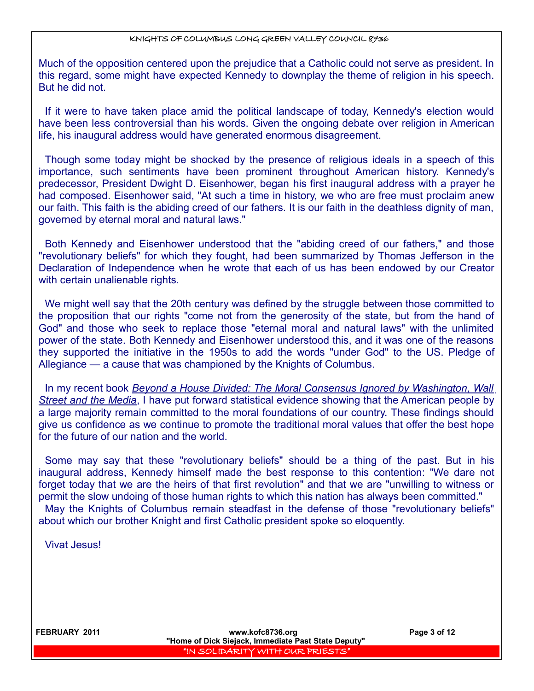Much of the opposition centered upon the prejudice that a Catholic could not serve as president. In this regard, some might have expected Kennedy to downplay the theme of religion in his speech. But he did not.

If it were to have taken place amid the political landscape of today, Kennedy's election would have been less controversial than his words. Given the ongoing debate over religion in American life, his inaugural address would have generated enormous disagreement.

Though some today might be shocked by the presence of religious ideals in a speech of this importance, such sentiments have been prominent throughout American history. Kennedy's predecessor, President Dwight D. Eisenhower, began his first inaugural address with a prayer he had composed. Eisenhower said, "At such a time in history, we who are free must proclaim anew our faith. This faith is the abiding creed of our fathers. It is our faith in the deathless dignity of man, governed by eternal moral and natural laws."

Both Kennedy and Eisenhower understood that the "abiding creed of our fathers," and those "revolutionary beliefs" for which they fought, had been summarized by Thomas Jefferson in the Declaration of Independence when he wrote that each of us has been endowed by our Creator with certain unalienable rights.

We might well say that the 20th century was defined by the struggle between those committed to the proposition that our rights "come not from the generosity of the state, but from the hand of God" and those who seek to replace those "eternal moral and natural laws" with the unlimited power of the state. Both Kennedy and Eisenhower understood this, and it was one of the reasons they supported the initiative in the 1950s to add the words "under God" to the US. Pledge of Allegiance — a cause that was championed by the Knights of Columbus.

In my recent book *Beyond a House Divided: The Moral Consensus Ignored by Washington, Wall Street and the Media*, I have put forward statistical evidence showing that the American people by a large majority remain committed to the moral foundations of our country. These findings should give us confidence as we continue to promote the traditional moral values that offer the best hope for the future of our nation and the world.

Some may say that these "revolutionary beliefs" should be a thing of the past. But in his inaugural address, Kennedy himself made the best response to this contention: "We dare not forget today that we are the heirs of that first revolution" and that we are "unwilling to witness or permit the slow undoing of those human rights to which this nation has always been committed." May the Knights of Columbus remain steadfast in the defense of those "revolutionary beliefs" about which our brother Knight and first Catholic president spoke so eloquently.

Vivat Jesus!

 **FEBRUARY 2011 www.kofc8736.org Page 3 of 12 "Home of Dick Siejack, Immediate Past State Deputy"**  "IN SOLIDARITY WITH OUR PRIESTS"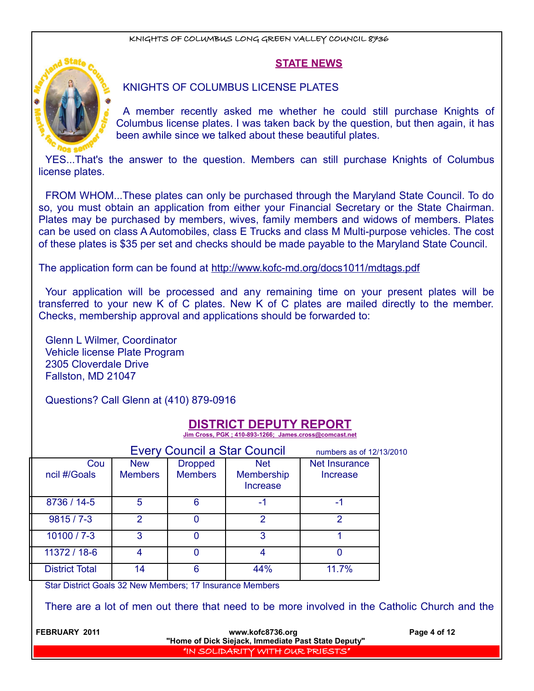#### **STATE NEWS**



#### KNIGHTS OF COLUMBUS LICENSE PLATES

A member recently asked me whether he could still purchase Knights of Columbus license plates. I was taken back by the question, but then again, it has been awhile since we talked about these beautiful plates.

YES...That's the answer to the question. Members can still purchase Knights of Columbus license plates.

FROM WHOM...These plates can only be purchased through the Maryland State Council. To do so, you must obtain an application from either your Financial Secretary or the State Chairman. Plates may be purchased by members, wives, family members and widows of members. Plates can be used on class A Automobiles, class E Trucks and class M Multi-purpose vehicles. The cost of these plates is \$35 per set and checks should be made payable to the Maryland State Council.

The application form can be found at http://www.kofc-md.org/docs1011/mdtags.pdf

Your application will be processed and any remaining time on your present plates will be transferred to your new K of C plates. New K of C plates are mailed directly to the member. Checks, membership approval and applications should be forwarded to:

Glenn L Wilmer, Coordinator Vehicle license Plate Program 2305 Cloverdale Drive Fallston, MD 21047

Questions? Call Glenn at (410) 879-0916

## **DISTRICT DEPUTY REPORT**

 **Jim Cross, PGK ; 410-893-1266; James.cross@comcast.net**

| <b>Every Council a Star Council</b><br>numbers as of 12/13/2010 |                       |                              |                                  |                                             |                                  |  |
|-----------------------------------------------------------------|-----------------------|------------------------------|----------------------------------|---------------------------------------------|----------------------------------|--|
|                                                                 | Cou<br>ncil #/Goals   | <b>New</b><br><b>Members</b> | <b>Dropped</b><br><b>Members</b> | <b>Net</b><br><b>Membership</b><br>Increase | <b>Net Insurance</b><br>Increase |  |
|                                                                 | 8736 / 14-5           | 5                            | Բ                                | -1                                          | -1                               |  |
|                                                                 | $9815/7 - 3$          | $\mathcal{P}$                |                                  | 2                                           | າ                                |  |
|                                                                 | $10100 / 7 - 3$       | 3                            |                                  | 3                                           |                                  |  |
|                                                                 | 11372 / 18-6          |                              |                                  |                                             |                                  |  |
|                                                                 | <b>District Total</b> | 14                           |                                  | 44%                                         | 11.7%                            |  |

Star District Goals 32 New Members; 17 Insurance Members

There are a lot of men out there that need to be more involved in the Catholic Church and the

**FEBRUARY 2011 CONSULTER WWW.kofc8736.org Page 4 of 12** 

**"Home of Dick Siejack, Immediate Past State Deputy"**  "IN SOLIDARITY WITH OUR PRIESTS"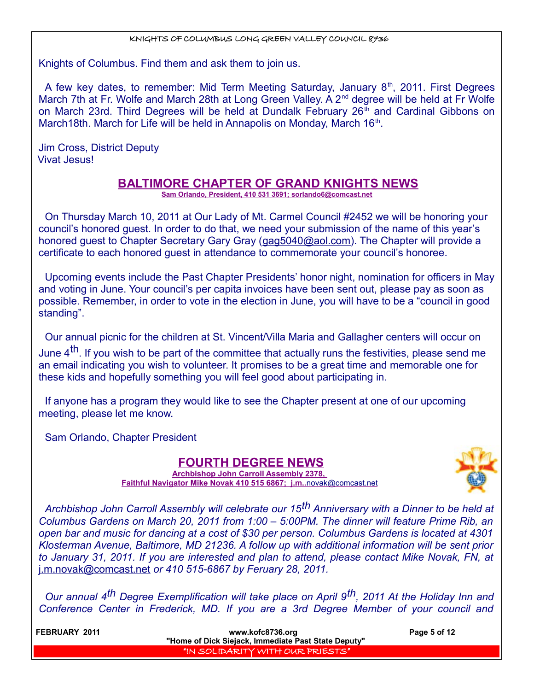Knights of Columbus. Find them and ask them to join us.

A few key dates, to remember: Mid Term Meeting Saturday, January  $8<sup>th</sup>$ , 2011. First Degrees March 7th at Fr. Wolfe and March 28th at Long Green Valley. A 2<sup>nd</sup> degree will be held at Fr Wolfe on March 23rd. Third Degrees will be held at Dundalk February 26<sup>th</sup> and Cardinal Gibbons on March18th. March for Life will be held in Annapolis on Monday, March 16<sup>th</sup>.

Jim Cross, District Deputy Vivat Jesus!

## **BALTIMORE CHAPTER OF GRAND KNIGHTS NEWS**

 **Sam Orlando, President, 410 531 3691; sorlando6@comcast.net**

On Thursday March 10, 2011 at Our Lady of Mt. Carmel Council #2452 we will be honoring your council's honored guest. In order to do that, we need your submission of the name of this year's honored guest to Chapter Secretary Gary Gray (gag5040@aol.com). The Chapter will provide a certificate to each honored guest in attendance to commemorate your council's honoree.

Upcoming events include the Past Chapter Presidents' honor night, nomination for officers in May and voting in June. Your council's per capita invoices have been sent out, please pay as soon as possible. Remember, in order to vote in the election in June, you will have to be a "council in good standing".

Our annual picnic for the children at St. Vincent/Villa Maria and Gallagher centers will occur on June  $4<sup>th</sup>$ . If you wish to be part of the committee that actually runs the festivities, please send me an email indicating you wish to volunteer. It promises to be a great time and memorable one for these kids and hopefully something you will feel good about participating in.

If anyone has a program they would like to see the Chapter present at one of our upcoming meeting, please let me know.

Sam Orlando, Chapter President

### **FOURTH DEGREE NEWS**



**Archbishop John Carroll Assembly 2378, Faithful Navigator Mike Novak 410 515 6867; j.m..** [novak@comcast.net](mailto:novak@comcast.net)

*Archbishop John Carroll Assembly will celebrate our 15th Anniversary with a Dinner to be held at Columbus Gardens on March 20, 2011 from 1:00 – 5:00PM. The dinner will feature Prime Rib, an open bar and music for dancing at a cost of \$30 per person. Columbus Gardens is located at 4301 Klosterman Avenue, Baltimore, MD 21236. A follow up with additional information will be sent prior to January 31, 2011. If you are interested and plan to attend, please contact Mike Novak, FN, at* j.m.novak@comcast.net *or 410 515-6867 by Feruary 28, 2011.* 

*Our annual 4th Degree Exemplification will take place on April 9th, 2011 At the Holiday Inn and Conference Center in Frederick, MD. If you are a 3rd Degree Member of your council and*

**FEBRUARY 2011 CONSULTER IN THE SERVICE WAS ARRESTED FOR UP ASSESSED FOR A PAGE 5 of 12 "Home of Dick Siejack, Immediate Past State Deputy"**  "IN SOLIDARITY WITH OUR PRIESTS"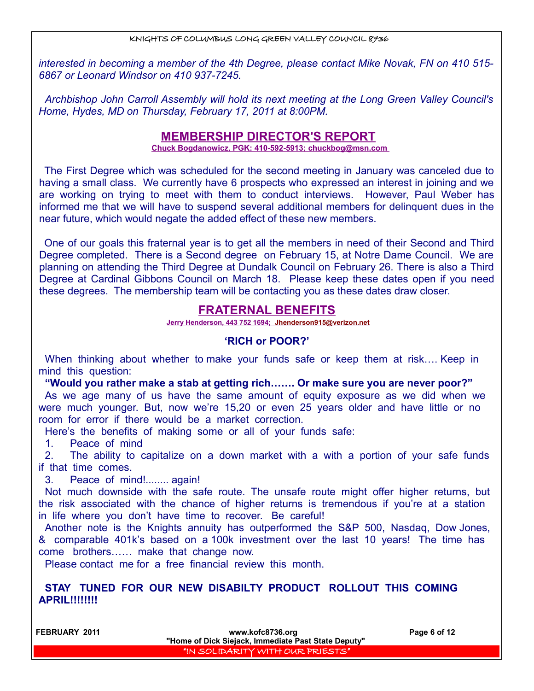*interested in becoming a member of the 4th Degree, please contact Mike Novak, FN on 410 515- 6867 or Leonard Windsor on 410 937-7245.*

*Archbishop John Carroll Assembly will hold its next meeting at the Long Green Valley Council's Home, Hydes, MD on Thursday, February 17, 2011 at 8:00PM.*

## **MEMBERSHIP DIRECTOR'S REPORT**

 **Chuck Bogdanowicz, PGK: 410-592-5913; chuckbog@msn.com** 

The First Degree which was scheduled for the second meeting in January was canceled due to having a small class. We currently have 6 prospects who expressed an interest in joining and we are working on trying to meet with them to conduct interviews. However, Paul Weber has informed me that we will have to suspend several additional members for delinquent dues in the near future, which would negate the added effect of these new members.

One of our goals this fraternal year is to get all the members in need of their Second and Third Degree completed. There is a Second degree on February 15, at Notre Dame Council. We are planning on attending the Third Degree at Dundalk Council on February 26. There is also a Third Degree at Cardinal Gibbons Council on March 18. Please keep these dates open if you need these degrees. The membership team will be contacting you as these dates draw closer.

## **FRATERNAL BENEFITS**

 **Jerry Henderson, 443 752 1694; [Jhenderson915@verizon.net](mailto:Jhenderson915@verizon.net)**

#### **'RICH or POOR?'**

When thinking about whether to make your funds safe or keep them at risk.... Keep in mind this question:

**"Would you rather make a stab at getting rich……. Or make sure you are never poor?"** As we age many of us have the same amount of equity exposure as we did when we were much younger. But, now we're 15,20 or even 25 years older and have little or no room for error if there would be a market correction.

Here's the benefits of making some or all of your funds safe:

1. Peace of mind

2. The ability to capitalize on a down market with a with a portion of your safe funds if that time comes.

3. Peace of mind!........ again!

Not much downside with the safe route. The unsafe route might offer higher returns, but the risk associated with the chance of higher returns is tremendous if you're at a station in life where you don't have time to recover. Be careful!

Another note is the Knights annuity has outperformed the S&P 500, Nasdaq, Dow Jones, & comparable 401k's based on a 100k investment over the last 10 years! The time has come brothers…… make that change now.

Please contact me for a free financial review this month.

#### **STAY TUNED FOR OUR NEW DISABILTY PRODUCT ROLLOUT THIS COMING APRIL!!!!!!!!**

 **FEBRUARY 2011 www.kofc8736.org Page 6 of 12 "Home of Dick Siejack, Immediate Past State Deputy"**  "IN SOLIDARITY WITH OUR PRIESTS"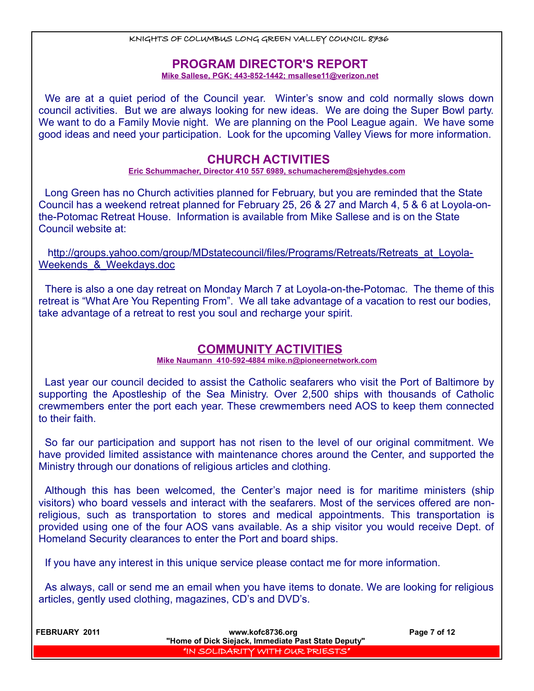## **PROGRAM DIRECTOR'S REPORT**

 **Mike Sallese, PGK; 443-852-1442; msallese11@verizon.net**

We are at a quiet period of the Council year. Winter's snow and cold normally slows down council activities. But we are always looking for new ideas. We are doing the Super Bowl party. We want to do a Family Movie night. We are planning on the Pool League again. We have some good ideas and need your participation. Look for the upcoming Valley Views for more information.

## **CHURCH ACTIVITIES**

 **Eric Schummacher, Director 410 557 6989, schumacherem@sjehydes.com**

Long Green has no Church activities planned for February, but you are reminded that the State Council has a weekend retreat planned for February 25, 26 & 27 and March 4, 5 & 6 at Loyola-onthe-Potomac Retreat House. Information is available from Mike Sallese and is on the State Council website at:

http://groups.yahoo.com/group/MDstatecouncil/files/Programs/Retreats/Retreats\_at\_Loyola-Weekends & Weekdays.doc

There is also a one day retreat on Monday March 7 at Loyola-on-the-Potomac. The theme of this retreat is "What Are You Repenting From". We all take advantage of a vacation to rest our bodies, take advantage of a retreat to rest you soul and recharge your spirit.

## **COMMUNITY ACTIVITIES**

**Mike Naumann 410-592-4884 mike.n@pioneernetwork.com**

Last year our council decided to assist the Catholic seafarers who visit the Port of Baltimore by supporting the Apostleship of the Sea Ministry. Over 2,500 ships with thousands of Catholic crewmembers enter the port each year. These crewmembers need AOS to keep them connected to their faith.

So far our participation and support has not risen to the level of our original commitment. We have provided limited assistance with maintenance chores around the Center, and supported the Ministry through our donations of religious articles and clothing.

Although this has been welcomed, the Center's major need is for maritime ministers (ship visitors) who board vessels and interact with the seafarers. Most of the services offered are nonreligious, such as transportation to stores and medical appointments. This transportation is provided using one of the four AOS vans available. As a ship visitor you would receive Dept. of Homeland Security clearances to enter the Port and board ships.

If you have any interest in this unique service please contact me for more information.

As always, call or send me an email when you have items to donate. We are looking for religious articles, gently used clothing, magazines, CD's and DVD's.

| <b>FEBRUARY 2011</b> | www.kofc8736.org                                    | Page 7 of 12 |
|----------------------|-----------------------------------------------------|--------------|
|                      | "Home of Dick Siejack, Immediate Past State Deputy" |              |
|                      | I'IN SOLIDARITY WITH OUR PRIESTS"                   |              |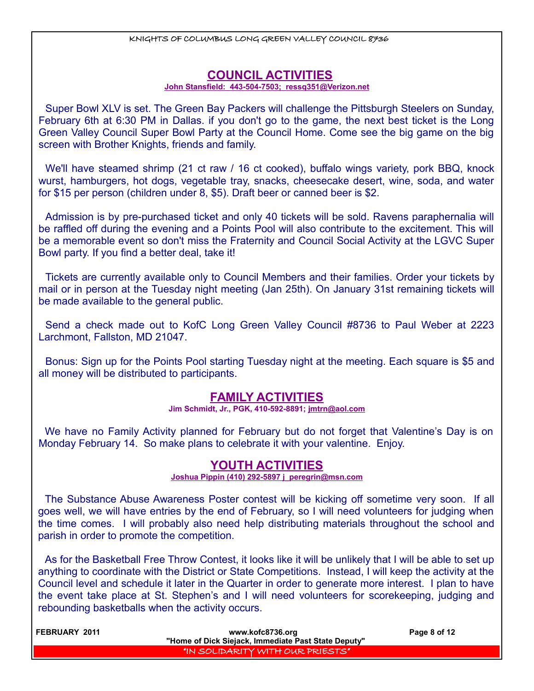## **COUNCIL ACTIVITIES**

#### **John Stansfield: 443-504-7503; ressq351@Verizon.net**

Super Bowl XLV is set. The Green Bay Packers will challenge the Pittsburgh Steelers on Sunday, February 6th at 6:30 PM in Dallas. if you don't go to the game, the next best ticket is the Long Green Valley Council Super Bowl Party at the Council Home. Come see the big game on the big screen with Brother Knights, friends and family.

We'll have steamed shrimp (21 ct raw / 16 ct cooked), buffalo wings variety, pork BBQ, knock wurst, hamburgers, hot dogs, vegetable tray, snacks, cheesecake desert, wine, soda, and water for \$15 per person (children under 8, \$5). Draft beer or canned beer is \$2.

Admission is by pre-purchased ticket and only 40 tickets will be sold. Ravens paraphernalia will be raffled off during the evening and a Points Pool will also contribute to the excitement. This will be a memorable event so don't miss the Fraternity and Council Social Activity at the LGVC Super Bowl party. If you find a better deal, take it!

Tickets are currently available only to Council Members and their families. Order your tickets by mail or in person at the Tuesday night meeting (Jan 25th). On January 31st remaining tickets will be made available to the general public.

Send a check made out to KofC Long Green Valley Council #8736 to Paul Weber at 2223 Larchmont, Fallston, MD 21047.

Bonus: Sign up for the Points Pool starting Tuesday night at the meeting. Each square is \$5 and all money will be distributed to participants.

## **FAMILY ACTIVITIES**

**Jim Schmidt, Jr., PGK, 410-592-8891; jmtrn@aol.com**

We have no Family Activity planned for February but do not forget that Valentine's Day is on Monday February 14. So make plans to celebrate it with your valentine. Enjoy.

### **YOUTH ACTIVITIES**

 **Joshua Pippin (410) 292-5897 j\_peregrin@msn.com**

The Substance Abuse Awareness Poster contest will be kicking off sometime very soon. If all goes well, we will have entries by the end of February, so I will need volunteers for judging when the time comes. I will probably also need help distributing materials throughout the school and parish in order to promote the competition.

As for the Basketball Free Throw Contest, it looks like it will be unlikely that I will be able to set up anything to coordinate with the District or State Competitions. Instead, I will keep the activity at the Council level and schedule it later in the Quarter in order to generate more interest. I plan to have the event take place at St. Stephen's and I will need volunteers for scorekeeping, judging and rebounding basketballs when the activity occurs.

| <b>FEBRUARY 2011</b> | www.kofc8736.org                                    | Page 8 of 12 |
|----------------------|-----------------------------------------------------|--------------|
|                      | "Home of Dick Siejack, Immediate Past State Deputy" |              |
|                      | I "IN SOLIDARITY WITH OUR PRIESTS"                  |              |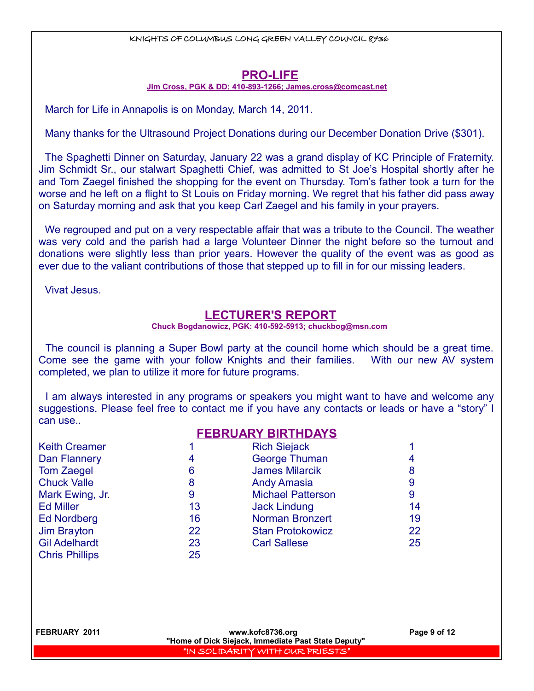## **PRO-LIFE**

 **Jim Cross, PGK & DD; 410-893-1266; [James.cross@comcast.net](mailto:James.cross@comcast.net)**

March for Life in Annapolis is on Monday, March 14, 2011.

Many thanks for the Ultrasound Project Donations during our December Donation Drive (\$301).

The Spaghetti Dinner on Saturday, January 22 was a grand display of KC Principle of Fraternity. Jim Schmidt Sr., our stalwart Spaghetti Chief, was admitted to St Joe's Hospital shortly after he and Tom Zaegel finished the shopping for the event on Thursday. Tom's father took a turn for the worse and he left on a flight to St Louis on Friday morning. We regret that his father did pass away on Saturday morning and ask that you keep Carl Zaegel and his family in your prayers.

We regrouped and put on a very respectable affair that was a tribute to the Council. The weather was very cold and the parish had a large Volunteer Dinner the night before so the turnout and donations were slightly less than prior years. However the quality of the event was as good as ever due to the valiant contributions of those that stepped up to fill in for our missing leaders.

Vivat Jesus.

## **LECTURER'S REPORT**

#### **Chuck Bogdanowicz, PGK: 410-592-5913; chuckbog@msn.com**

The council is planning a Super Bowl party at the council home which should be a great time. Come see the game with your follow Knights and their families. With our new AV system completed, we plan to utilize it more for future programs.

I am always interested in any programs or speakers you might want to have and welcome any suggestions. Please feel free to contact me if you have any contacts or leads or have a "story" I can use..

**FEBRUARY BIRTHDAYS**

|                       | FEDNUANT DINTHUATO |                          |    |
|-----------------------|--------------------|--------------------------|----|
| <b>Keith Creamer</b>  |                    | <b>Rich Siejack</b>      |    |
| Dan Flannery          | 4                  | <b>George Thuman</b>     |    |
| <b>Tom Zaegel</b>     | 6                  | <b>James Milarcik</b>    | 8  |
| <b>Chuck Valle</b>    | 8                  | <b>Andy Amasia</b>       | 9  |
| Mark Ewing, Jr.       | 9                  | <b>Michael Patterson</b> | 9  |
| <b>Ed Miller</b>      | 13                 | <b>Jack Lindung</b>      | 14 |
| <b>Ed Nordberg</b>    | 16                 | <b>Norman Bronzert</b>   | 19 |
| Jim Brayton           | 22                 | <b>Stan Protokowicz</b>  | 22 |
| <b>Gil Adelhardt</b>  | 23                 | <b>Carl Sallese</b>      | 25 |
| <b>Chris Phillips</b> | 25                 |                          |    |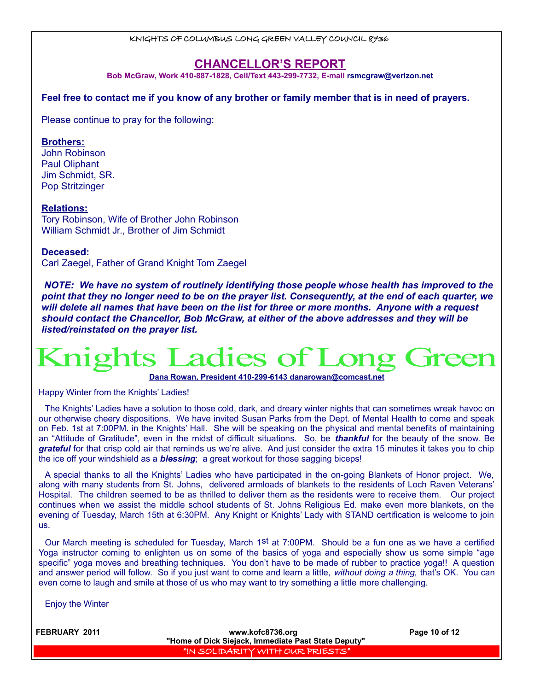## **CHANCELLOR'S REPORT**

 **Bob McGraw, Work 410-887-1828, Cell/Text 443-299-7732, E-mail [rsmcgraw@verizon.net](mailto:rsmcgraw@verizon.net)**

**Feel free to contact me if you know of any brother or family member that is in need of prayers.** 

Please continue to pray for the following:

#### **Brothers:**

John Robinson Paul Oliphant Jim Schmidt, SR. Pop Stritzinger

#### **Relations:**

Tory Robinson, Wife of Brother John Robinson William Schmidt Jr., Brother of Jim Schmidt

#### **Deceased:**

Carl Zaegel, Father of Grand Knight Tom Zaegel

*NOTE: We have no system of routinely identifying those people whose health has improved to the point that they no longer need to be on the prayer list. Consequently, at the end of each quarter, we will delete all names that have been on the list for three or more months. Anyone with a request should contact the Chancellor, Bob McGraw, at either of the above addresses and they will be listed/reinstated on the prayer list.* 

# **Knights Ladies of l**

 **Dana Rowan, President 410-299-6143 [danarowan@comcast.net](mailto:danarowan@comcast.net)**

Happy Winter from the Knights' Ladies!

The Knights' Ladies have a solution to those cold, dark, and dreary winter nights that can sometimes wreak havoc on our otherwise cheery dispositions. We have invited Susan Parks from the Dept. of Mental Health to come and speak on Feb. 1st at 7:00PM. in the Knights' Hall. She will be speaking on the physical and mental benefits of maintaining an "Attitude of Gratitude", even in the midst of difficult situations. So, be *thankful* for the beauty of the snow. Be *grateful* for that crisp cold air that reminds us we're alive. And just consider the extra 15 minutes it takes you to chip the ice off your windshield as a *blessing*; a great workout for those sagging biceps!

A special thanks to all the Knights' Ladies who have participated in the on-going Blankets of Honor project. We, along with many students from St. Johns, delivered armloads of blankets to the residents of Loch Raven Veterans' Hospital. The children seemed to be as thrilled to deliver them as the residents were to receive them. Our project continues when we assist the middle school students of St. Johns Religious Ed. make even more blankets, on the evening of Tuesday, March 15th at 6:30PM. Any Knight or Knights' Lady with STAND certification is welcome to join us.

Our March meeting is scheduled for Tuesday, March 1st at 7:00PM. Should be a fun one as we have a certified Yoga instructor coming to enlighten us on some of the basics of yoga and especially show us some simple "age specific" yoga moves and breathing techniques. You don't have to be made of rubber to practice yoga!! A question and answer period will follow. So if you just want to come and learn a little, *without doing a thing,* that's OK. You can even come to laugh and smile at those of us who may want to try something a little more challenging.

Enjoy the Winter

| l FEBRUARY 2011 | www.kofc8736.org<br>"Home of Dick Siejack, Immediate Past State Deputy" | Page 10 of 12 |
|-----------------|-------------------------------------------------------------------------|---------------|
|                 | I "IN SOLIDARITY WITH OUR PRIESTS",                                     |               |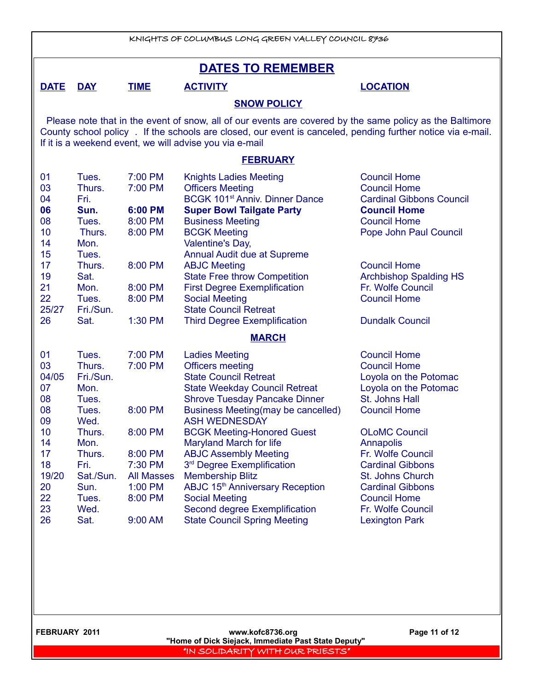|                                                                                                                                                                                                                                                                                                                                                                                                                                                                                                                                                                                                                                                                                                                                                                                                                                                                                                                                                                            | KNIGHTS OF COLUMBUS LONG GREEN VALLEY COUNCIL 8736                                                                                               |                                                                                                                      |                                                                                                                                                                                                                                                                                                                                                                                                                                                                                                                                                            |                                                                                                                                                                                                                                                                                                                                                       |  |
|----------------------------------------------------------------------------------------------------------------------------------------------------------------------------------------------------------------------------------------------------------------------------------------------------------------------------------------------------------------------------------------------------------------------------------------------------------------------------------------------------------------------------------------------------------------------------------------------------------------------------------------------------------------------------------------------------------------------------------------------------------------------------------------------------------------------------------------------------------------------------------------------------------------------------------------------------------------------------|--------------------------------------------------------------------------------------------------------------------------------------------------|----------------------------------------------------------------------------------------------------------------------|------------------------------------------------------------------------------------------------------------------------------------------------------------------------------------------------------------------------------------------------------------------------------------------------------------------------------------------------------------------------------------------------------------------------------------------------------------------------------------------------------------------------------------------------------------|-------------------------------------------------------------------------------------------------------------------------------------------------------------------------------------------------------------------------------------------------------------------------------------------------------------------------------------------------------|--|
|                                                                                                                                                                                                                                                                                                                                                                                                                                                                                                                                                                                                                                                                                                                                                                                                                                                                                                                                                                            |                                                                                                                                                  |                                                                                                                      | <b>DATES TO REMEMBER</b>                                                                                                                                                                                                                                                                                                                                                                                                                                                                                                                                   |                                                                                                                                                                                                                                                                                                                                                       |  |
| <b>DATE</b>                                                                                                                                                                                                                                                                                                                                                                                                                                                                                                                                                                                                                                                                                                                                                                                                                                                                                                                                                                | <b>DAY</b>                                                                                                                                       | <b>TIME</b>                                                                                                          | <b>ACTIVITY</b>                                                                                                                                                                                                                                                                                                                                                                                                                                                                                                                                            | <b>LOCATION</b>                                                                                                                                                                                                                                                                                                                                       |  |
|                                                                                                                                                                                                                                                                                                                                                                                                                                                                                                                                                                                                                                                                                                                                                                                                                                                                                                                                                                            |                                                                                                                                                  |                                                                                                                      | <b>SNOW POLICY</b>                                                                                                                                                                                                                                                                                                                                                                                                                                                                                                                                         |                                                                                                                                                                                                                                                                                                                                                       |  |
|                                                                                                                                                                                                                                                                                                                                                                                                                                                                                                                                                                                                                                                                                                                                                                                                                                                                                                                                                                            |                                                                                                                                                  |                                                                                                                      | Please note that in the event of snow, all of our events are covered by the same policy as the Baltimore<br>County school policy. If the schools are closed, our event is canceled, pending further notice via e-mail.<br>If it is a weekend event, we will advise you via e-mail                                                                                                                                                                                                                                                                          |                                                                                                                                                                                                                                                                                                                                                       |  |
|                                                                                                                                                                                                                                                                                                                                                                                                                                                                                                                                                                                                                                                                                                                                                                                                                                                                                                                                                                            |                                                                                                                                                  |                                                                                                                      | <b>FEBRUARY</b>                                                                                                                                                                                                                                                                                                                                                                                                                                                                                                                                            |                                                                                                                                                                                                                                                                                                                                                       |  |
| 01<br>7:00 PM<br><b>Knights Ladies Meeting</b><br><b>Council Home</b><br>Tues.<br>03<br>Thurs.<br>7:00 PM<br><b>Officers Meeting</b><br><b>Council Home</b><br>BCGK 101 <sup>st</sup> Anniv. Dinner Dance<br>04<br>Fri.<br><b>Cardinal Gibbons Council</b><br>06<br>6:00 PM<br><b>Super Bowl Tailgate Party</b><br><b>Council Home</b><br>Sun.<br>8:00 PM<br>08<br>Tues.<br><b>Business Meeting</b><br><b>Council Home</b><br>10<br>8:00 PM<br><b>BCGK Meeting</b><br>Pope John Paul Council<br>Thurs.<br>14<br>Mon.<br>Valentine's Day,<br>15<br>Annual Audit due at Supreme<br>Tues.<br>17<br><b>Council Home</b><br>Thurs.<br>8:00 PM<br><b>ABJC Meeting</b><br>19<br><b>State Free throw Competition</b><br><b>Archbishop Spalding HS</b><br>Sat.<br>21<br>Mon.<br>8:00 PM<br><b>First Degree Exemplification</b><br>Fr. Wolfe Council<br>22<br>8:00 PM<br><b>Social Meeting</b><br><b>Council Home</b><br>Tues.<br>25/27<br><b>State Council Retreat</b><br>Fri./Sun. |                                                                                                                                                  |                                                                                                                      |                                                                                                                                                                                                                                                                                                                                                                                                                                                                                                                                                            |                                                                                                                                                                                                                                                                                                                                                       |  |
| 26                                                                                                                                                                                                                                                                                                                                                                                                                                                                                                                                                                                                                                                                                                                                                                                                                                                                                                                                                                         | Sat.                                                                                                                                             | 1:30 PM                                                                                                              | <b>Third Degree Exemplification</b><br><b>MARCH</b>                                                                                                                                                                                                                                                                                                                                                                                                                                                                                                        | <b>Dundalk Council</b>                                                                                                                                                                                                                                                                                                                                |  |
| 01<br>03<br>04/05<br>07<br>08<br>08<br>09<br>10<br>14<br>17<br>18<br>19/20<br>20<br>22<br>23<br>26                                                                                                                                                                                                                                                                                                                                                                                                                                                                                                                                                                                                                                                                                                                                                                                                                                                                         | Tues.<br>Thurs.<br>Fri./Sun.<br>Mon.<br>Tues.<br>Tues.<br>Wed.<br>Thurs.<br>Mon.<br>Thurs.<br>Fri.<br>Sat./Sun.<br>Sun.<br>Tues.<br>Wed.<br>Sat. | 7:00 PM<br>7:00 PM<br>8:00 PM<br>8:00 PM<br>8:00 PM<br>7:30 PM<br><b>All Masses</b><br>1:00 PM<br>8:00 PM<br>9:00 AM | <b>Ladies Meeting</b><br><b>Officers meeting</b><br><b>State Council Retreat</b><br><b>State Weekday Council Retreat</b><br><b>Shrove Tuesday Pancake Dinner</b><br>Business Meeting(may be cancelled)<br><b>ASH WEDNESDAY</b><br><b>BCGK Meeting-Honored Guest</b><br><b>Maryland March for life</b><br><b>ABJC Assembly Meeting</b><br>3 <sup>rd</sup> Degree Exemplification<br><b>Membership Blitz</b><br>ABJC 15 <sup>th</sup> Anniversary Reception<br><b>Social Meeting</b><br>Second degree Exemplification<br><b>State Council Spring Meeting</b> | <b>Council Home</b><br><b>Council Home</b><br>Loyola on the Potomac<br>Loyola on the Potomac<br>St. Johns Hall<br><b>Council Home</b><br><b>OLoMC Council</b><br><b>Annapolis</b><br>Fr. Wolfe Council<br><b>Cardinal Gibbons</b><br>St. Johns Church<br><b>Cardinal Gibbons</b><br><b>Council Home</b><br>Fr. Wolfe Council<br><b>Lexington Park</b> |  |

 **FEBRUARY 2011 www.kofc8736.org Page 11 of 12 "Home of Dick Siejack, Immediate Past State Deputy"**  "IN SOLIDARITY WITH OUR PRIESTS"